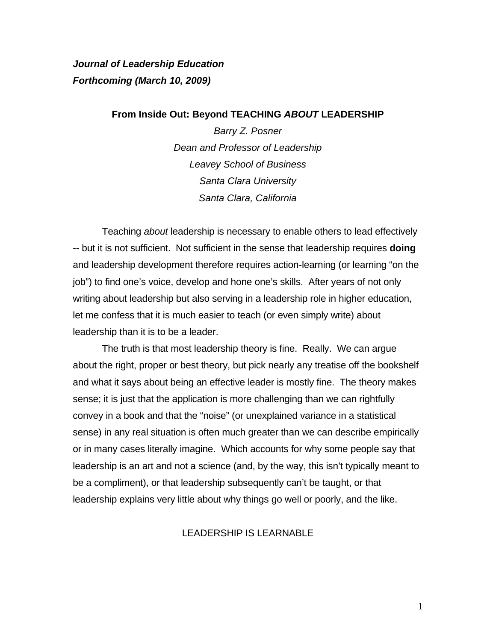*Journal of Leadership Education Forthcoming (March 10, 2009)* 

#### **From Inside Out: Beyond TEACHING** *ABOUT* **LEADERSHIP**

*Barry Z. Posner Dean and Professor of Leadership Leavey School of Business Santa Clara University Santa Clara, California*

Teaching *about* leadership is necessary to enable others to lead effectively -- but it is not sufficient. Not sufficient in the sense that leadership requires **doing** and leadership development therefore requires action-learning (or learning "on the job") to find one's voice, develop and hone one's skills. After years of not only writing about leadership but also serving in a leadership role in higher education, let me confess that it is much easier to teach (or even simply write) about leadership than it is to be a leader.

 The truth is that most leadership theory is fine. Really. We can argue about the right, proper or best theory, but pick nearly any treatise off the bookshelf and what it says about being an effective leader is mostly fine. The theory makes sense; it is just that the application is more challenging than we can rightfully convey in a book and that the "noise" (or unexplained variance in a statistical sense) in any real situation is often much greater than we can describe empirically or in many cases literally imagine. Which accounts for why some people say that leadership is an art and not a science (and, by the way, this isn't typically meant to be a compliment), or that leadership subsequently can't be taught, or that leadership explains very little about why things go well or poorly, and the like.

# LEADERSHIP IS LEARNABLE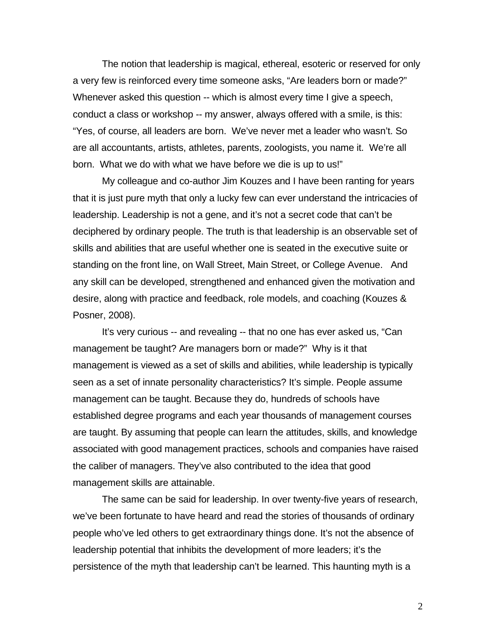The notion that leadership is magical, ethereal, esoteric or reserved for only a very few is reinforced every time someone asks, "Are leaders born or made?" Whenever asked this question -- which is almost every time I give a speech, conduct a class or workshop -- my answer, always offered with a smile, is this: "Yes, of course, all leaders are born. We've never met a leader who wasn't. So are all accountants, artists, athletes, parents, zoologists, you name it. We're all born. What we do with what we have before we die is up to us!"

My colleague and co-author Jim Kouzes and I have been ranting for years that it is just pure myth that only a lucky few can ever understand the intricacies of leadership. Leadership is not a gene, and it's not a secret code that can't be deciphered by ordinary people. The truth is that leadership is an observable set of skills and abilities that are useful whether one is seated in the executive suite or standing on the front line, on Wall Street, Main Street, or College Avenue. And any skill can be developed, strengthened and enhanced given the motivation and desire, along with practice and feedback, role models, and coaching (Kouzes & Posner, 2008).

It's very curious -- and revealing -- that no one has ever asked us, "Can management be taught? Are managers born or made?" Why is it that management is viewed as a set of skills and abilities, while leadership is typically seen as a set of innate personality characteristics? It's simple. People assume management can be taught. Because they do, hundreds of schools have established degree programs and each year thousands of management courses are taught. By assuming that people can learn the attitudes, skills, and knowledge associated with good management practices, schools and companies have raised the caliber of managers. They've also contributed to the idea that good management skills are attainable.

The same can be said for leadership. In over twenty-five years of research, we've been fortunate to have heard and read the stories of thousands of ordinary people who've led others to get extraordinary things done. It's not the absence of leadership potential that inhibits the development of more leaders; it's the persistence of the myth that leadership can't be learned. This haunting myth is a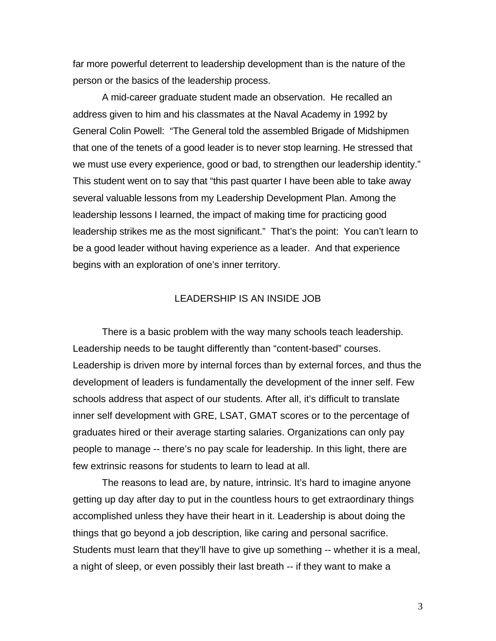far more powerful deterrent to leadership development than is the nature of the person or the basics of the leadership process.

 A mid-career graduate student made an observation. He recalled an address given to him and his classmates at the Naval Academy in 1992 by General Colin Powell: "The General told the assembled Brigade of Midshipmen that one of the tenets of a good leader is to never stop learning. He stressed that we must use every experience, good or bad, to strengthen our leadership identity." This student went on to say that "this past quarter I have been able to take away several valuable lessons from my Leadership Development Plan. Among the leadership lessons I learned, the impact of making time for practicing good leadership strikes me as the most significant." That's the point: You can't learn to be a good leader without having experience as a leader. And that experience begins with an exploration of one's inner territory.

## LEADERSHIP IS AN INSIDE JOB

There is a basic problem with the way many schools teach leadership. Leadership needs to be taught differently than "content-based" courses. Leadership is driven more by internal forces than by external forces, and thus the development of leaders is fundamentally the development of the inner self. Few schools address that aspect of our students. After all, it's difficult to translate inner self development with GRE, LSAT, GMAT scores or to the percentage of graduates hired or their average starting salaries. Organizations can only pay people to manage -- there's no pay scale for leadership. In this light, there are few extrinsic reasons for students to learn to lead at all.

The reasons to lead are, by nature, intrinsic. It's hard to imagine anyone getting up day after day to put in the countless hours to get extraordinary things accomplished unless they have their heart in it. Leadership is about doing the things that go beyond a job description, like caring and personal sacrifice. Students must learn that they'll have to give up something -- whether it is a meal, a night of sleep, or even possibly their last breath -- if they want to make a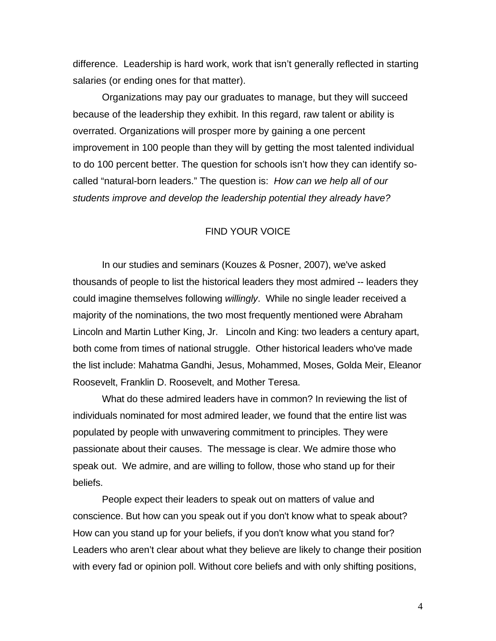difference. Leadership is hard work, work that isn't generally reflected in starting salaries (or ending ones for that matter).

Organizations may pay our graduates to manage, but they will succeed because of the leadership they exhibit. In this regard, raw talent or ability is overrated. Organizations will prosper more by gaining a one percent improvement in 100 people than they will by getting the most talented individual to do 100 percent better. The question for schools isn't how they can identify socalled "natural-born leaders." The question is: *How can we help all of our students improve and develop the leadership potential they already have?*

## FIND YOUR VOICE

In our studies and seminars (Kouzes & Posner, 2007), we've asked thousands of people to list the historical leaders they most admired -- leaders they could imagine themselves following *willingly*. While no single leader received a majority of the nominations, the two most frequently mentioned were Abraham Lincoln and Martin Luther King, Jr. Lincoln and King: two leaders a century apart, both come from times of national struggle. Other historical leaders who've made the list include: Mahatma Gandhi, Jesus, Mohammed, Moses, Golda Meir, Eleanor Roosevelt, Franklin D. Roosevelt, and Mother Teresa.

 What do these admired leaders have in common? In reviewing the list of individuals nominated for most admired leader, we found that the entire list was populated by people with unwavering commitment to principles. They were passionate about their causes. The message is clear. We admire those who speak out. We admire, and are willing to follow, those who stand up for their beliefs.

 People expect their leaders to speak out on matters of value and conscience. But how can you speak out if you don't know what to speak about? How can you stand up for your beliefs, if you don't know what you stand for? Leaders who aren't clear about what they believe are likely to change their position with every fad or opinion poll. Without core beliefs and with only shifting positions,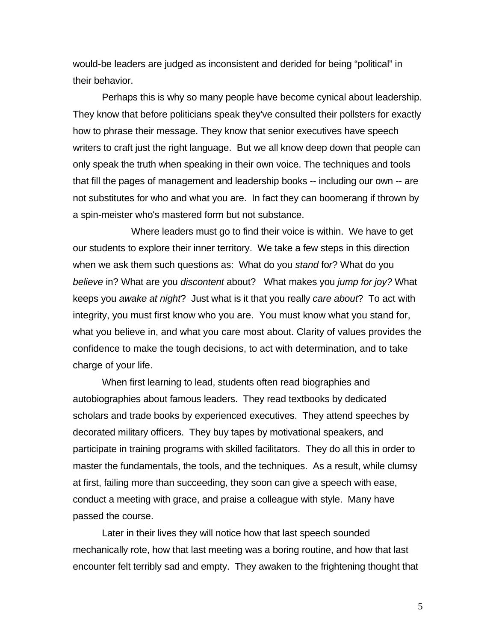would-be leaders are judged as inconsistent and derided for being "political" in their behavior.

 Perhaps this is why so many people have become cynical about leadership. They know that before politicians speak they've consulted their pollsters for exactly how to phrase their message. They know that senior executives have speech writers to craft just the right language. But we all know deep down that people can only speak the truth when speaking in their own voice. The techniques and tools that fill the pages of management and leadership books -- including our own -- are not substitutes for who and what you are. In fact they can boomerang if thrown by a spin-meister who's mastered form but not substance.

 Where leaders must go to find their voice is within. We have to get our students to explore their inner territory. We take a few steps in this direction when we ask them such questions as: What do you *stand* fo*r*? What do you *believe* in? What are you *discontent* about? What makes you *jump for joy?* What keeps you *awake at night*? Just what is it that you really *care about*? To act with integrity, you must first know who you are. You must know what you stand for, what you believe in, and what you care most about. Clarity of values provides the confidence to make the tough decisions, to act with determination, and to take charge of your life.

 When first learning to lead, students often read biographies and autobiographies about famous leaders. They read textbooks by dedicated scholars and trade books by experienced executives. They attend speeches by decorated military officers. They buy tapes by motivational speakers, and participate in training programs with skilled facilitators. They do all this in order to master the fundamentals, the tools, and the techniques. As a result, while clumsy at first, failing more than succeeding, they soon can give a speech with ease, conduct a meeting with grace, and praise a colleague with style. Many have passed the course.

 Later in their lives they will notice how that last speech sounded mechanically rote, how that last meeting was a boring routine, and how that last encounter felt terribly sad and empty. They awaken to the frightening thought that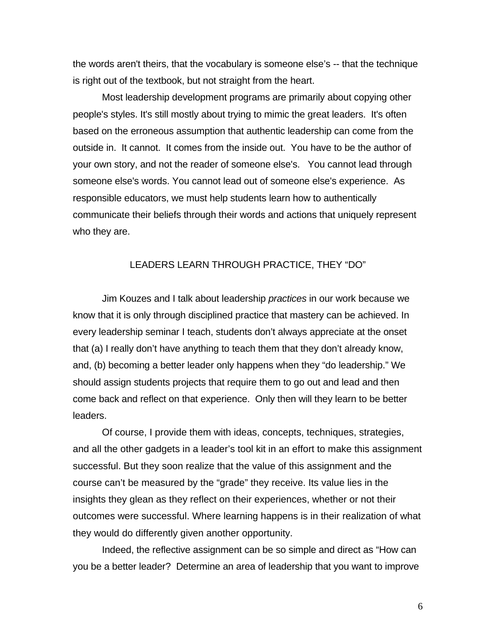the words aren't theirs, that the vocabulary is someone else's -- that the technique is right out of the textbook, but not straight from the heart.

 Most leadership development programs are primarily about copying other people's styles. It's still mostly about trying to mimic the great leaders. It's often based on the erroneous assumption that authentic leadership can come from the outside in. It cannot. It comes from the inside out. You have to be the author of your own story, and not the reader of someone else's. You cannot lead through someone else's words. You cannot lead out of someone else's experience. As responsible educators, we must help students learn how to authentically communicate their beliefs through their words and actions that uniquely represent who they are.

### LEADERS LEARN THROUGH PRACTICE, THEY "DO"

Jim Kouzes and I talk about leadership *practices* in our work because we know that it is only through disciplined practice that mastery can be achieved. In every leadership seminar I teach, students don't always appreciate at the onset that (a) I really don't have anything to teach them that they don't already know, and, (b) becoming a better leader only happens when they "do leadership." We should assign students projects that require them to go out and lead and then come back and reflect on that experience. Only then will they learn to be better leaders.

Of course, I provide them with ideas, concepts, techniques, strategies, and all the other gadgets in a leader's tool kit in an effort to make this assignment successful. But they soon realize that the value of this assignment and the course can't be measured by the "grade" they receive. Its value lies in the insights they glean as they reflect on their experiences, whether or not their outcomes were successful. Where learning happens is in their realization of what they would do differently given another opportunity.

Indeed, the reflective assignment can be so simple and direct as "How can you be a better leader? Determine an area of leadership that you want to improve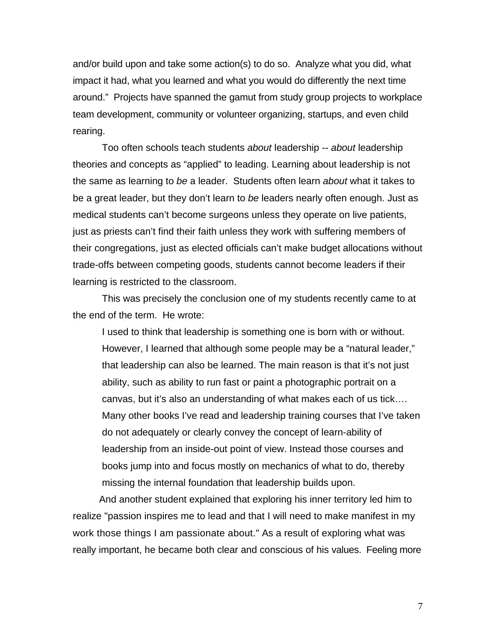and/or build upon and take some action(s) to do so. Analyze what you did, what impact it had, what you learned and what you would do differently the next time around." Projects have spanned the gamut from study group projects to workplace team development, community or volunteer organizing, startups, and even child rearing.

Too often schools teach students *about* leadership -- *about* leadership theories and concepts as "applied" to leading. Learning about leadership is not the same as learning to *be* a leader. Students often learn *about* what it takes to be a great leader, but they don't learn to *be* leaders nearly often enough. Just as medical students can't become surgeons unless they operate on live patients, just as priests can't find their faith unless they work with suffering members of their congregations, just as elected officials can't make budget allocations without trade-offs between competing goods, students cannot become leaders if their learning is restricted to the classroom.

 This was precisely the conclusion one of my students recently came to at the end of the term. He wrote:

I used to think that leadership is something one is born with or without. However, I learned that although some people may be a "natural leader," that leadership can also be learned. The main reason is that it's not just ability, such as ability to run fast or paint a photographic portrait on a canvas, but it's also an understanding of what makes each of us tick…. Many other books I've read and leadership training courses that I've taken do not adequately or clearly convey the concept of learn-ability of leadership from an inside-out point of view. Instead those courses and books jump into and focus mostly on mechanics of what to do, thereby missing the internal foundation that leadership builds upon.

And another student explained that exploring his inner territory led him to realize "passion inspires me to lead and that I will need to make manifest in my work those things I am passionate about." As a result of exploring what was really important, he became both clear and conscious of his values. Feeling more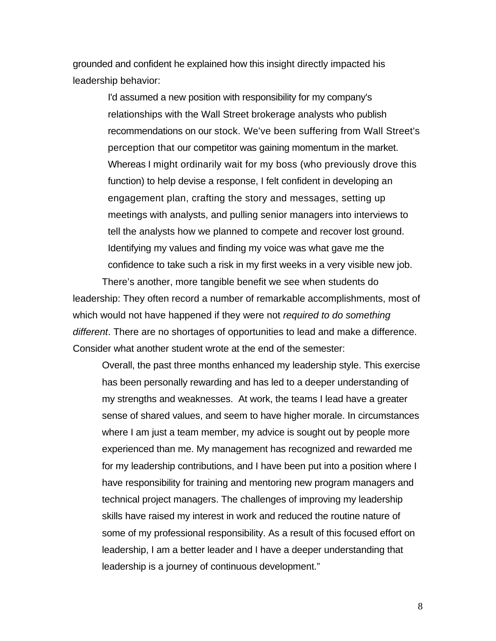grounded and confident he explained how this insight directly impacted his leadership behavior:

> I'd assumed a new position with responsibility for my company's relationships with the Wall Street brokerage analysts who publish recommendations on our stock. We've been suffering from Wall Street's perception that our competitor was gaining momentum in the market. Whereas I might ordinarily wait for my boss (who previously drove this function) to help devise a response, I felt confident in developing an engagement plan, crafting the story and messages, setting up meetings with analysts, and pulling senior managers into interviews to tell the analysts how we planned to compete and recover lost ground. Identifying my values and finding my voice was what gave me the confidence to take such a risk in my first weeks in a very visible new job.

There's another, more tangible benefit we see when students do leadership: They often record a number of remarkable accomplishments, most of which would not have happened if they were not *required to do something different*. There are no shortages of opportunities to lead and make a difference. Consider what another student wrote at the end of the semester:

Overall, the past three months enhanced my leadership style. This exercise has been personally rewarding and has led to a deeper understanding of my strengths and weaknesses. At work, the teams I lead have a greater sense of shared values, and seem to have higher morale. In circumstances where I am just a team member, my advice is sought out by people more experienced than me. My management has recognized and rewarded me for my leadership contributions, and I have been put into a position where I have responsibility for training and mentoring new program managers and technical project managers. The challenges of improving my leadership skills have raised my interest in work and reduced the routine nature of some of my professional responsibility. As a result of this focused effort on leadership, I am a better leader and I have a deeper understanding that leadership is a journey of continuous development."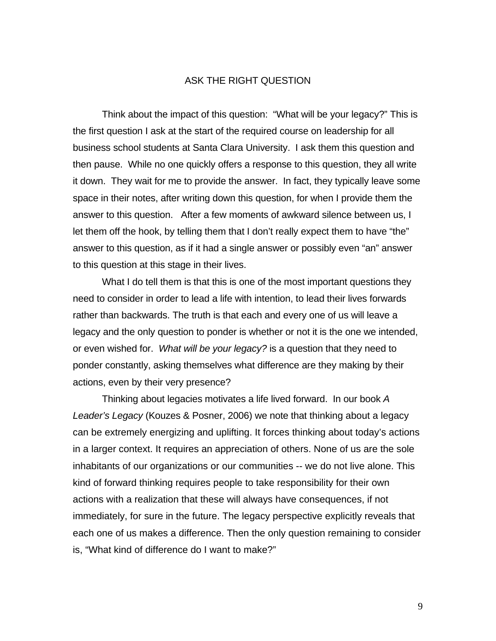## ASK THE RIGHT QUESTION

Think about the impact of this question: "What will be your legacy?" This is the first question I ask at the start of the required course on leadership for all business school students at Santa Clara University. I ask them this question and then pause. While no one quickly offers a response to this question, they all write it down. They wait for me to provide the answer. In fact, they typically leave some space in their notes, after writing down this question, for when I provide them the answer to this question. After a few moments of awkward silence between us, I let them off the hook, by telling them that I don't really expect them to have "the" answer to this question, as if it had a single answer or possibly even "an" answer to this question at this stage in their lives.

 What I do tell them is that this is one of the most important questions they need to consider in order to lead a life with intention, to lead their lives forwards rather than backwards. The truth is that each and every one of us will leave a legacy and the only question to ponder is whether or not it is the one we intended, or even wished for. *What will be your legacy?* is a question that they need to ponder constantly, asking themselves what difference are they making by their actions, even by their very presence?

 Thinking about legacies motivates a life lived forward. In our book *A Leader's Legacy* (Kouzes & Posner, 2006) we note that thinking about a legacy can be extremely energizing and uplifting. It forces thinking about today's actions in a larger context. It requires an appreciation of others. None of us are the sole inhabitants of our organizations or our communities -- we do not live alone. This kind of forward thinking requires people to take responsibility for their own actions with a realization that these will always have consequences, if not immediately, for sure in the future. The legacy perspective explicitly reveals that each one of us makes a difference. Then the only question remaining to consider is, "What kind of difference do I want to make?"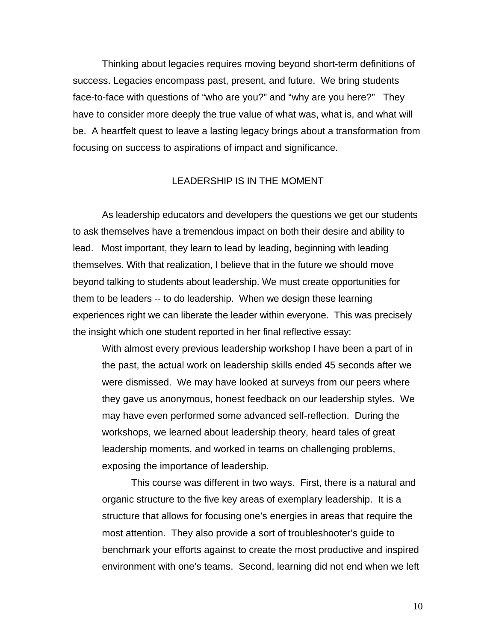Thinking about legacies requires moving beyond short-term definitions of success. Legacies encompass past, present, and future. We bring students face-to-face with questions of "who are you?" and "why are you here?" They have to consider more deeply the true value of what was, what is, and what will be. A heartfelt quest to leave a lasting legacy brings about a transformation from focusing on success to aspirations of impact and significance.

### LEADERSHIP IS IN THE MOMENT

As leadership educators and developers the questions we get our students to ask themselves have a tremendous impact on both their desire and ability to lead. Most important, they learn to lead by leading, beginning with leading themselves. With that realization, I believe that in the future we should move beyond talking to students about leadership. We must create opportunities for them to be leaders -- to do leadership. When we design these learning experiences right we can liberate the leader within everyone. This was precisely the insight which one student reported in her final reflective essay:

With almost every previous leadership workshop I have been a part of in the past, the actual work on leadership skills ended 45 seconds after we were dismissed. We may have looked at surveys from our peers where they gave us anonymous, honest feedback on our leadership styles. We may have even performed some advanced self-reflection. During the workshops, we learned about leadership theory, heard tales of great leadership moments, and worked in teams on challenging problems, exposing the importance of leadership.

This course was different in two ways. First, there is a natural and organic structure to the five key areas of exemplary leadership. It is a structure that allows for focusing one's energies in areas that require the most attention. They also provide a sort of troubleshooter's guide to benchmark your efforts against to create the most productive and inspired environment with one's teams. Second, learning did not end when we left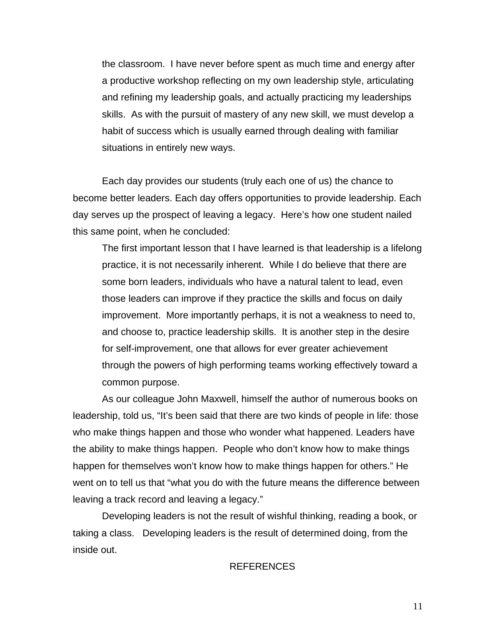the classroom. I have never before spent as much time and energy after a productive workshop reflecting on my own leadership style, articulating and refining my leadership goals, and actually practicing my leaderships skills. As with the pursuit of mastery of any new skill, we must develop a habit of success which is usually earned through dealing with familiar situations in entirely new ways.

Each day provides our students (truly each one of us) the chance to become better leaders. Each day offers opportunities to provide leadership. Each day serves up the prospect of leaving a legacy. Here's how one student nailed this same point, when he concluded:

The first important lesson that I have learned is that leadership is a lifelong practice, it is not necessarily inherent. While I do believe that there are some born leaders, individuals who have a natural talent to lead, even those leaders can improve if they practice the skills and focus on daily improvement. More importantly perhaps, it is not a weakness to need to, and choose to, practice leadership skills. It is another step in the desire for self-improvement, one that allows for ever greater achievement through the powers of high performing teams working effectively toward a common purpose.

As our colleague John Maxwell, himself the author of numerous books on leadership, told us, "It's been said that there are two kinds of people in life: those who make things happen and those who wonder what happened. Leaders have the ability to make things happen. People who don't know how to make things happen for themselves won't know how to make things happen for others." He went on to tell us that "what you do with the future means the difference between leaving a track record and leaving a legacy."

Developing leaders is not the result of wishful thinking, reading a book, or taking a class. Developing leaders is the result of determined doing, from the inside out.

## REFERENCES